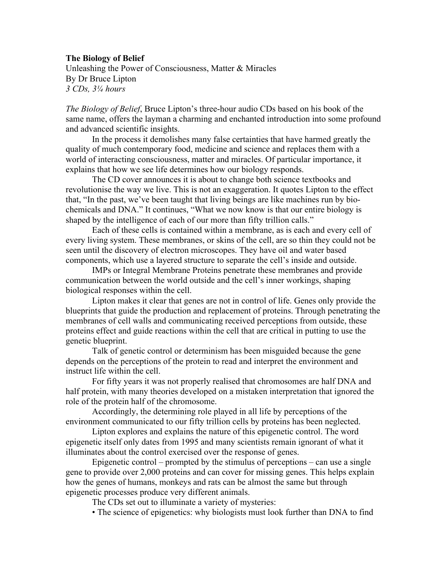## **The Biology of Belief**

Unleashing the Power of Consciousness, Matter & Miracles By Dr Bruce Lipton *3 CDs, 3¼ hours*

*The Biology of Belief*, Bruce Lipton's three-hour audio CDs based on his book of the same name, offers the layman a charming and enchanted introduction into some profound and advanced scientific insights.

In the process it demolishes many false certainties that have harmed greatly the quality of much contemporary food, medicine and science and replaces them with a world of interacting consciousness, matter and miracles. Of particular importance, it explains that how we see life determines how our biology responds.

The CD cover announces it is about to change both science textbooks and revolutionise the way we live. This is not an exaggeration. It quotes Lipton to the effect that, "In the past, we've been taught that living beings are like machines run by biochemicals and DNA." It continues, "What we now know is that our entire biology is shaped by the intelligence of each of our more than fifty trillion calls."

Each of these cells is contained within a membrane, as is each and every cell of every living system. These membranes, or skins of the cell, are so thin they could not be seen until the discovery of electron microscopes. They have oil and water based components, which use a layered structure to separate the cell's inside and outside.

IMPs or Integral Membrane Proteins penetrate these membranes and provide communication between the world outside and the cell's inner workings, shaping biological responses within the cell.

Lipton makes it clear that genes are not in control of life. Genes only provide the blueprints that guide the production and replacement of proteins. Through penetrating the membranes of cell walls and communicating received perceptions from outside, these proteins effect and guide reactions within the cell that are critical in putting to use the genetic blueprint.

Talk of genetic control or determinism has been misguided because the gene depends on the perceptions of the protein to read and interpret the environment and instruct life within the cell.

For fifty years it was not properly realised that chromosomes are half DNA and half protein, with many theories developed on a mistaken interpretation that ignored the role of the protein half of the chromosome.

Accordingly, the determining role played in all life by perceptions of the environment communicated to our fifty trillion cells by proteins has been neglected.

Lipton explores and explains the nature of this epigenetic control. The word epigenetic itself only dates from 1995 and many scientists remain ignorant of what it illuminates about the control exercised over the response of genes.

Epigenetic control – prompted by the stimulus of perceptions – can use a single gene to provide over 2,000 proteins and can cover for missing genes. This helps explain how the genes of humans, monkeys and rats can be almost the same but through epigenetic processes produce very different animals.

The CDs set out to illuminate a variety of mysteries:

• The science of epigenetics: why biologists must look further than DNA to find